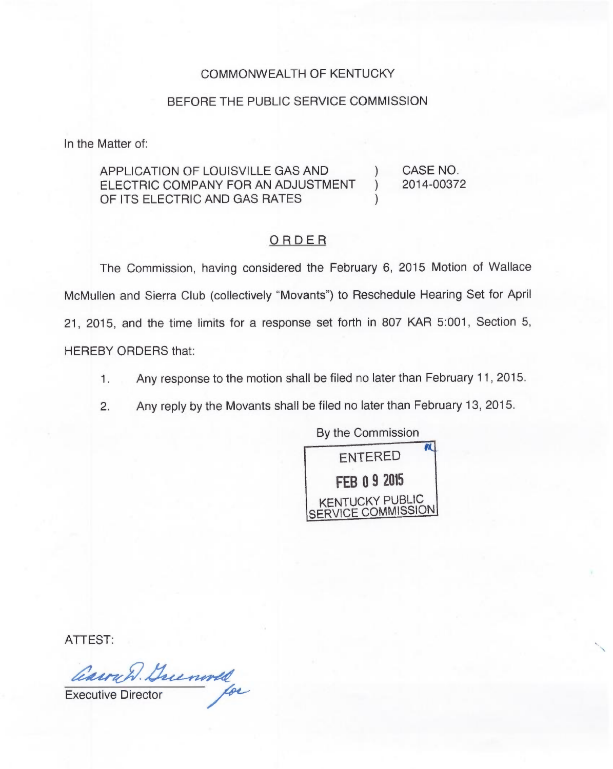## COMMONWEALTH OF KENTUCKY

## BEFORE THE PUBLIC SERVICE COMMISSION

In the Matter of:

## APPLICATION OF LOUISVILLE GAS AND ) CASE NO. ELECTRIC COMPANY FOR AN ADJUSTMENT OF ITS ELECTRIC AND GAS RATES

2014-00372

## ORDER

The Commission, having considered the February 6, 2015 Motion of Wallace McMullen and Sierra Club (collectively "Movants") to Reschedule Hearing Set for April 21, 2015, and the time limits for a response set forth in 807 KAR 5:001, Section 5, HEREBY ORDERS that:

- 1. Any response to the motion shall be filed no later than February 11, 2015.
- 2. Any reply by the Movants shall be filed no later than February 13, 2015.



ATTEST

Cauril Guenold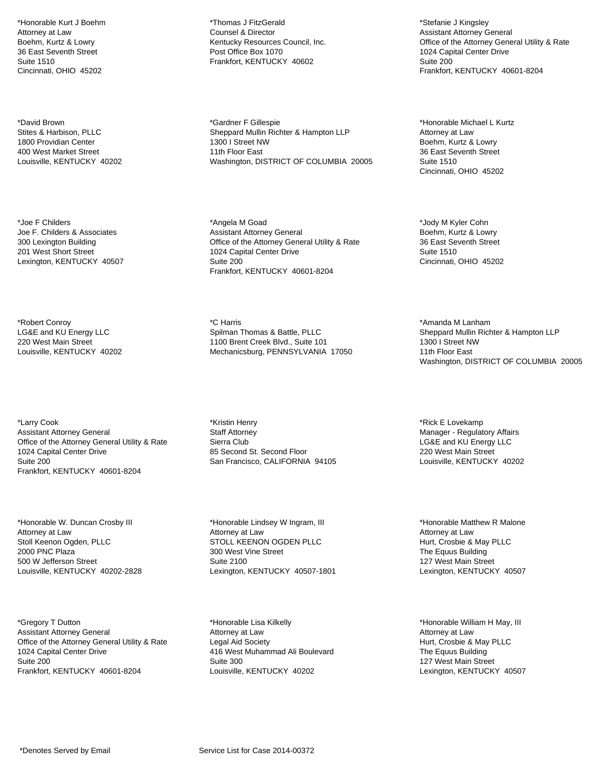\*Honorable Kurt J Boehm Attorney at Law Boehm, Kurtz & Lowry 36 East Seventh Street Suite 1510 Cincinnati, OHIO 45202

\*David Brown Stites & Harbison, PLLC 1800 Providian Center 400 West Market Street Louisville, KENTUCKY 40202

\*Joe F Childers Joe F. Childers & Associates 300 Lexington Building 201 West Short Street Lexington, KENTUCKY 40507

\*Robert Conroy LG&E and KU Energy LLC 220 West Main Street Louisville, KENTUCKY 40202

\*Larry Cook Assistant Attorney General Office of the Attorney General Utility & Rate 1024 Capital Center Drive Suite 200 Frankfort, KENTUCKY 40601-8204

\*Honorable W. Duncan Crosby III Attorney at Law Stoll Keenon Ogden, PLLC 2000 PNC Plaza 500 W Jefferson Street Louisville, KENTUCKY 40202-2828

\*Gregory T Dutton Assistant Attorney General Office of the Attorney General Utility & Rate 1024 Capital Center Drive Suite 200 Frankfort, KENTUCKY 40601-8204

\*Thomas J FitzGerald Counsel & Director Kentucky Resources Council, Inc. Post Office Box 1070 Frankfort, KENTUCKY 40602

\*Gardner F Gillespie Sheppard Mullin Richter & Hampton LLP 1300 I Street NW 11th Floor East Washington, DISTRICT OF COLUMBIA 20005

\*Angela M Goad Assistant Attorney General Office of the Attorney General Utility & Rate 1024 Capital Center Drive Suite 200 Frankfort, KENTUCKY 40601-8204

\*C Harris Spilman Thomas & Battle, PLLC 1100 Brent Creek Blvd., Suite 101 Mechanicsburg, PENNSYLVANIA 17050

\*Kristin Henry Staff Attorney Sierra Club 85 Second St. Second Floor San Francisco, CALIFORNIA 94105

\*Honorable Lindsey W Ingram, III Attorney at Law STOLL KEENON OGDEN PLLC 300 West Vine Street Suite 2100 Lexington, KENTUCKY 40507-1801

\*Honorable Lisa Kilkelly Attorney at Law Legal Aid Society 416 West Muhammad Ali Boulevard Suite 300 Louisville, KENTUCKY 40202

\*Stefanie J Kingsley Assistant Attorney General Office of the Attorney General Utility & Rate 1024 Capital Center Drive Suite 200 Frankfort, KENTUCKY 40601-8204

\*Honorable Michael L Kurtz Attorney at Law Boehm, Kurtz & Lowry 36 East Seventh Street Suite 1510 Cincinnati, OHIO 45202

\*Jody M Kyler Cohn Boehm, Kurtz & Lowry 36 East Seventh Street Suite 1510 Cincinnati, OHIO 45202

\*Amanda M Lanham Sheppard Mullin Richter & Hampton LLP 1300 I Street NW 11th Floor East Washington, DISTRICT OF COLUMBIA 20005

\*Rick E Lovekamp Manager - Regulatory Affairs LG&E and KU Energy LLC 220 West Main Street Louisville, KENTUCKY 40202

\*Honorable Matthew R Malone Attorney at Law Hurt, Crosbie & May PLLC The Equus Building 127 West Main Street Lexington, KENTUCKY 40507

\*Honorable William H May, III Attorney at Law Hurt, Crosbie & May PLLC The Equus Building 127 West Main Street Lexington, KENTUCKY 40507